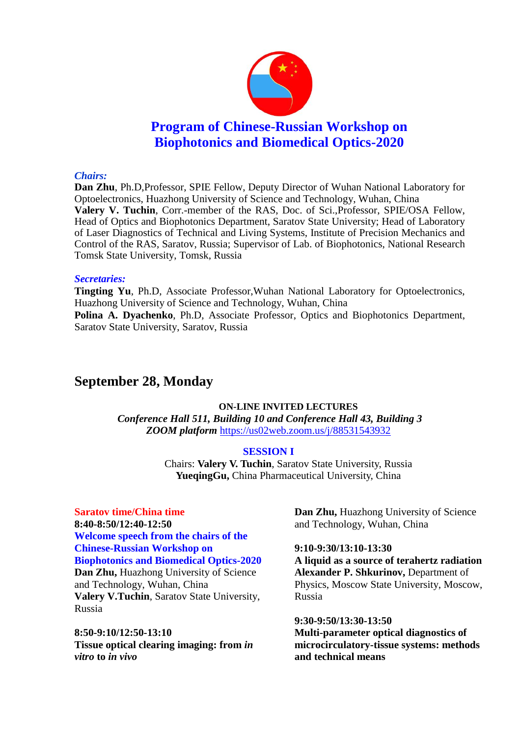

### *Chairs:*

**Dan Zhu**, Ph.D,Professor, SPIE Fellow, Deputy Director of Wuhan National Laboratory for Optoelectronics, Huazhong University of Science and Technology, Wuhan, China **Valery V. Tuchin**, Corr.-member of the RAS, Doc. of Sci.,Professor, SPIE/OSA Fellow, Head of Optics and Biophotonics Department, Saratov State University; Head of Laboratory of Laser Diagnostics of Technical and Living Systems, Institute of Precision Mechanics and Control of the RAS, Saratov, Russia; Supervisor of Lab. of Biophotonics, National Research Tomsk State University, Tomsk, Russia

### *Secretaries:*

**Tingting Yu**, Ph.D, Associate Professor,Wuhan National Laboratory for Optoelectronics, Huazhong University of Science and Technology, Wuhan, China **Polina A. Dyachenko**, Ph.D, Associate Professor, Optics and Biophotonics Department, Saratov State University, Saratov, Russia

# **September 28, Monday**

# **ON-LINE INVITED LECTURES**

*Conference Hall 511, Building 10 and Conference Hall 43, Building 3 ZOOM platform* <https://us02web.zoom.us/j/88531543932>

#### **SESSION I**

Chairs: **Valery V. Tuchin**, Saratov State University, Russia **YueqingGu,** China Pharmaceutical University, China

# **Saratov time/China time 8:40-8:50/12:40-12:50 Welcome speech from the chairs of the Chinese-Russian Workshop on Biophotonics and Biomedical Optics-2020 Dan Zhu,** Huazhong University of Science and Technology, Wuhan, China

**Valery V.Tuchin**, Saratov State University, Russia

**8:50-9:10/12:50-13:10 Tissue optical clearing imaging: from** *in vitro* **to** *in vivo*

**Dan Zhu,** Huazhong University of Science and Technology, Wuhan, China

#### **9:10-9:30/13:10-13:30**

**A liquid as a source of terahertz radiation Alexander P. Shkurinov,** Department of Physics, Moscow State University, Moscow, Russia

#### **9:30-9:50/13:30-13:50**

**Multi-parameter optical diagnostics of microcirculatory-tissue systems: methods and technical means**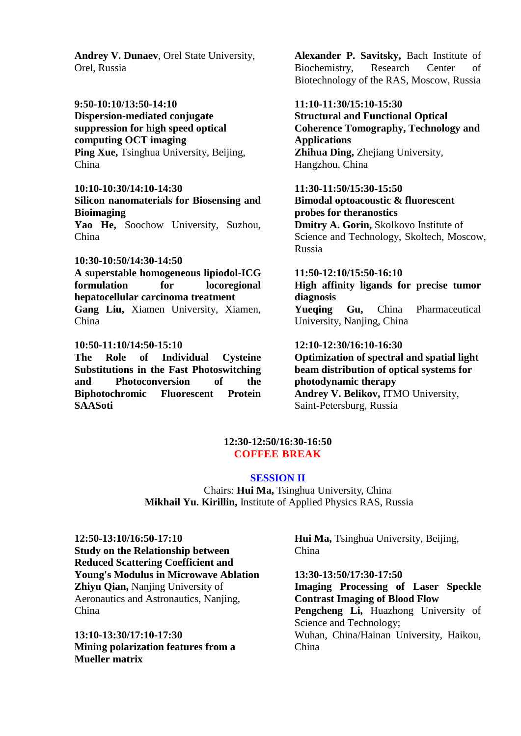**Andrey V. Dunaev**, Orel State University, Orel, Russia

**9:50-10:10/13:50-14:10**

**Dispersion-mediated conjugate suppression for high speed optical computing OCT imaging Ping Xue, Tsinghua University, Beijing,** China

**10:10-10:30/14:10-14:30 Silicon nanomaterials for Biosensing and Bioimaging** Yao He, Soochow University, Suzhou,

China

# **10:30-10:50/14:30-14:50**

**A superstable homogeneous lipiodol-ICG formulation for locoregional hepatocellular carcinoma treatment Gang Liu,** Xiamen University, Xiamen, China

# **10:50-11:10/14:50-15:10**

**The Role of Individual Cysteine Substitutions in the Fast Photoswitching and Photoconversion of the Biphotochromic Fluorescent Protein SAASoti**

**Alexander P. Savitsky,** Bach Institute of Biochemistry, Research Center of Biotechnology of the RAS, Moscow, Russia

# **11:10-11:30/15:10-15:30**

**Structural and Functional Optical Coherence Tomography, Technology and Applications Zhihua Ding,** Zhejiang University, Hangzhou, China

**11:30-11:50/15:30-15:50 Bimodal optoacoustic & fluorescent probes for theranostics Dmitry A. Gorin,** Skolkovo Institute of Science and Technology, Skoltech, Moscow, Russia

**11:50-12:10/15:50-16:10 High affinity ligands for precise tumor diagnosis**

**Yueqing Gu,** China Pharmaceutical University, Nanjing, China

# **12:10-12:30/16:10-16:30**

**Optimization of spectral and spatial light beam distribution of optical systems for photodynamic therapy Andrey V. Belikov,** ITMO University, Saint-Petersburg, Russia

### **12:30-12:50/16:30-16:50 COFFEE BREAK**

# **SESSION II**

Chairs: **Hui Ma,** Tsinghua University, China **Mikhail Yu. Kirillin,** Institute of Applied Physics RAS, Russia

**12:50-13:10/16:50-17:10 Study on the Relationship between Reduced Scattering Coefficient and Young's Modulus in Microwave Ablation Zhiyu Qian,** Nanjing University of Aeronautics and Astronautics, Nanjing, China

**13:10-13:30/17:10-17:30 Mining polarization features from a Mueller matrix**

**Hui Ma,** Tsinghua University, Beijing, China

**13:30-13:50/17:30-17:50 Imaging Processing of Laser Speckle Contrast Imaging of Blood Flow** Pengcheng Li, Huazhong University of Science and Technology; Wuhan, China/Hainan University, Haikou, China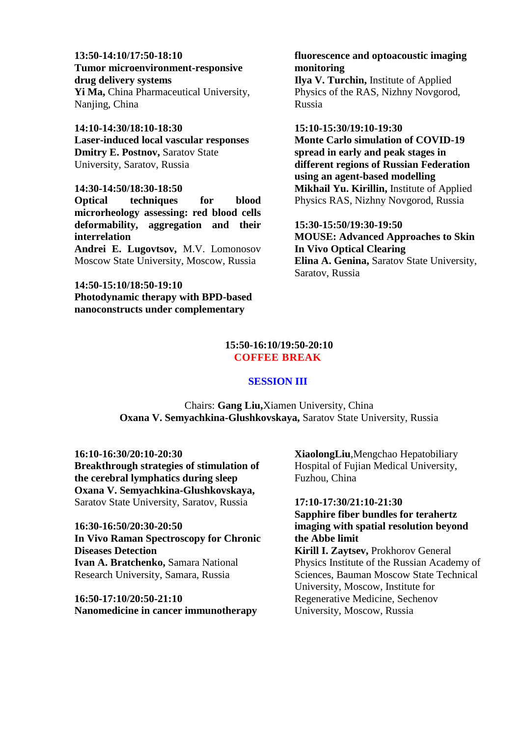**13:50-14:10/17:50-18:10 Tumor microenvironment-responsive drug delivery systems Yi Ma,** China Pharmaceutical University,

Nanjing, China

**14:10-14:30/18:10-18:30 Laser-induced local vascular responses Dmitry E. Postnov,** Saratov State University, Saratov, Russia

#### **14:30-14:50/18:30-18:50**

**Optical techniques for blood microrheology assessing: red blood cells deformability, aggregation and their interrelation**

**Andrei E. Lugovtsov,** M.V. Lomonosov Moscow State University, Moscow, Russia

### **14:50-15:10/18:50-19:10 Photodynamic therapy with BPD-based nanoconstructs under complementary**

# **fluorescence and optoacoustic imaging monitoring**

**Ilya V. Turchin,** Institute of Applied Physics of the RAS, Nizhny Novgorod, Russia

#### **15:10-15:30/19:10-19:30**

**Monte Carlo simulation of COVID-19 spread in early and peak stages in different regions of Russian Federation using an agent-based modelling Mikhail Yu. Kirillin,** Institute of Applied Physics RAS, Nizhny Novgorod, Russia

**15:30-15:50/19:30-19:50 MOUSE: Advanced Approaches to Skin In Vivo Optical Clearing Elina A. Genina,** Saratov State University, Saratov, Russia

# **15:50-16:10/19:50-20:10 COFFEE BREAK**

#### **SESSION III**

Chairs: **Gang Liu,**Xiamen University, China **Oxana V. Semyachkina-Glushkovskaya,** Saratov State University, Russia

**16:10-16:30/20:10-20:30 Breakthrough strategies of stimulation of the cerebral lymphatics during sleep Oxana V. Semyachkina-Glushkovskaya,**  Saratov State University, Saratov, Russia

**16:30-16:50/20:30-20:50 In Vivo Raman Spectroscopy for Chronic Diseases Detection Ivan A. Bratchenko,** Samara National Research University, Samara, Russia

**16:50-17:10/20:50-21:10 Nanomedicine in cancer immunotherapy** **XiaolongLiu**,Mengchao Hepatobiliary Hospital of Fujian Medical University, Fuzhou, China

# **17:10-17:30/21:10-21:30 Sapphire fiber bundles for terahertz imaging with spatial resolution beyond the Abbe limit**

**Kirill I. Zaytsev,** Prokhorov General Physics Institute of the Russian Academy of Sciences, Bauman Moscow State Technical University, Moscow, Institute for Regenerative Medicine, Sechenov University, Moscow, Russia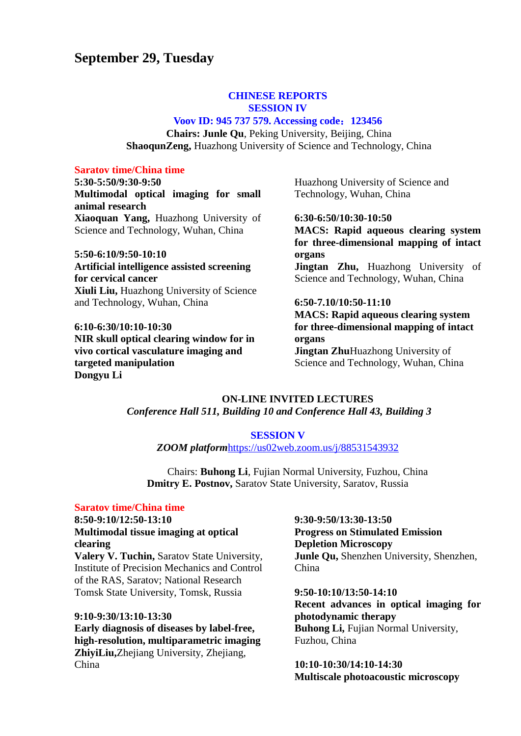# **September 29, Tuesday**

### **CHINESE REPORTS SESSION IV**

#### **Voov ID: 945 737 579. Accessing code**:**123456**

**Chairs: Junle Qu**, Peking University, Beijing, China **ShaoqunZeng,** Huazhong University of Science and Technology, China

# **Saratov time/China time**

**5:30-5:50/9:30-9:50 Multimodal optical imaging for small animal research Xiaoquan Yang,** Huazhong University of Science and Technology, Wuhan, China

**5:50-6:10/9:50-10:10 Artificial intelligence assisted screening for cervical cancer Xiuli Liu,** Huazhong University of Science and Technology, Wuhan, China

**6:10-6:30/10:10-10:30 NIR skull optical clearing window for in vivo cortical vasculature imaging and targeted manipulation Dongyu Li**

Huazhong University of Science and Technology, Wuhan, China

#### **6:30-6:50/10:30-10:50**

**MACS: Rapid aqueous clearing system for three-dimensional mapping of intact organs** Jingtan Zhu, Huazhong University of Science and Technology, Wuhan, China

#### **6:50-7.10/10:50-11:10**

**MACS: Rapid aqueous clearing system for three-dimensional mapping of intact organs Jingtan Zhu**Huazhong University of Science and Technology, Wuhan, Chinа

# **ON-LINE INVITED LECTURES** *Conference Hall 511, Building 10 and Conference Hall 43, Building 3*

#### **SESSION V**

*ZOOM platform*<https://us02web.zoom.us/j/88531543932>

Chairs: **Buhong Li**, Fujian Normal University, Fuzhou, China **Dmitry E. Postnov,** Saratov State University, Saratov, Russia

#### **Saratov time/China time**

**8:50-9:10/12:50-13:10 Multimodal tissue imaging at optical clearing Valery V. Tuchin,** Saratov State University,

Institute of Precision Mechanics and Control of the RAS, Saratov; National Research Tomsk State University, Tomsk, Russia

### **9:10-9:30/13:10-13:30**

**Early diagnosis of diseases by label-free, high-resolution, multiparametric imaging ZhiyiLiu,**Zhejiang University, Zhejiang, China

# **9:30-9:50/13:30-13:50 Progress on Stimulated Emission Depletion Microscopy Junle Qu,** Shenzhen University, Shenzhen, China

**9:50-10:10/13:50-14:10 Recent advances in optical imaging for photodynamic therapy Buhong Li,** Fujian Normal University, Fuzhou, China

**10:10-10:30/14:10-14:30 Multiscale photoacoustic microscopy**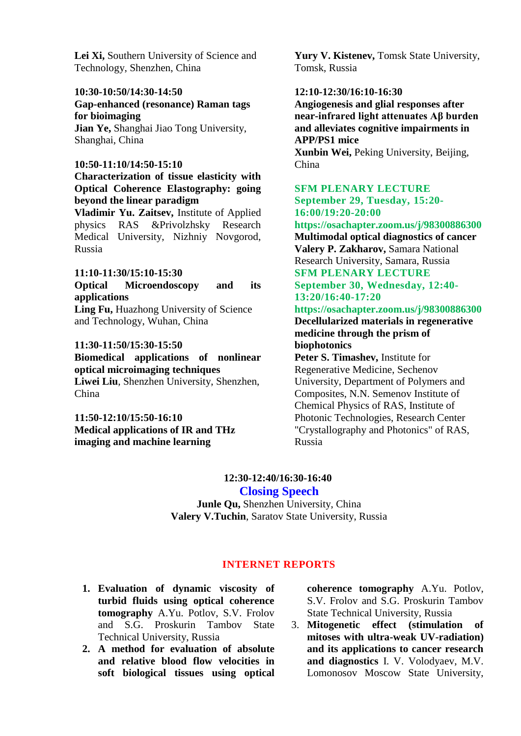Lei Xi. Southern University of Science and Technology, Shenzhen, China

#### **10:30-10:50/14:30-14:50**

**Gap-enhanced (resonance) Raman tags for bioimaging**

**Jian Ye,** Shanghai Jiao Tong University, Shanghai, China

#### **10:50-11:10/14:50-15:10**

# **Characterization of tissue elasticity with Optical Coherence Elastography: going beyond the linear paradigm**

**Vladimir Yu. Zaitsev,** Institute of Applied physics RAS &Privolzhsky Research Medical University, Nizhniy Novgorod, Russia

# **11:10-11:30/15:10-15:30**

**Optical Microendoscopy and its applications**

**Ling Fu,** Huazhong University of Science and Technology, Wuhan, China

### **11:30-11:50/15:30-15:50**

**Biomedical applications of nonlinear optical microimaging techniques Liwei Liu**, Shenzhen University, Shenzhen, China

**11:50-12:10/15:50-16:10 Medical applications of IR and THz imaging and machine learning**

Yury V. Kistenev, Tomsk State University, Tomsk, Russia

# **12:10-12:30/16:10-16:30**

**Angiogenesis and glial responses after near-infrared light attenuates Aβ burden and alleviates cognitive impairments in APP/PS1 mice Xunbin Wei,** Peking University, Beijing,

China

# **SFM PLENARY LECTURE September 29, Tuesday, 15:20- 16:00/19:20-20:00**

**https://osachapter.zoom.us/j/98300886300 Multimodal optical diagnostics of cancer Valery P. Zakharov,** Samara National Research University, Samara, Russia **SFM PLENARY LECTURE**

**September 30, Wednesday, 12:40- 13:20/16:40-17:20**

# **https://osachapter.zoom.us/j/98300886300**

**Decellularized materials in regenerative medicine through the prism of biophotonics**

**Peter S. Timashev,** Institute for Regenerative Medicine, Sechenov University, Department of Polymers and Composites, N.N. Semenov Institute of Chemical Physics of RAS, Institute of Photonic Technologies, Research Center "Crystallography and Photonics" of RAS, Russia

# **12:30-12:40/16:30-16:40 Closing Speech**

**Junle Qu,** Shenzhen University, China **Valery V.Tuchin**, Saratov State University, Russia

# **INTERNET REPORTS**

- **1. Evaluation of dynamic viscosity of turbid fluids using optical coherence tomography** A.Yu. Potlov, S.V. Frolov and S.G. Proskurin Tambov State Technical University, Russia
- **2. A method for evaluation of absolute and relative blood flow velocities in soft biological tissues using optical**

**coherence tomography** A.Yu. Potlov, S.V. Frolov and S.G. Proskurin Tambov State Technical University, Russia

3. **Mitogenetic effect (stimulation of mitoses with ultra-weak UV-radiation) and its applications to cancer research and diagnostics** I. V. Volodyaev, M.V. Lomonosov Moscow State University,